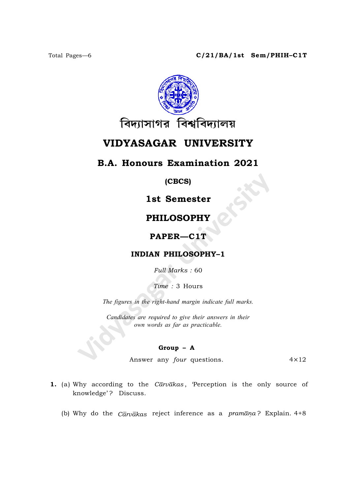

# VIDYASAGAR UNIVERSITY

## B.A. Honours Examination 2021

(CBCS)

# 1st Semester

## PHILOSOPHY

### PAPER—C1T

#### INDIAN PHILOSOPHY–1

Full Marks : 60

Time : 3 Hours

The figures in the right-hand margin indicate full marks.

Candidates are required to give their answers in their own words as far as practicable.

#### Group – A

Answer any  $four$  questions.  $4 \times 12$ 

- 1. (a) Why according to the Carvakas, 'Perception is the only source of knowledge'? Discuss.
	- (b) Why do the  $\bar{C}\bar{a}rv\bar{a}k$  reject inference as a  $\bar{p}ram\bar{a}n\bar{a}$ ? Explain. 4+8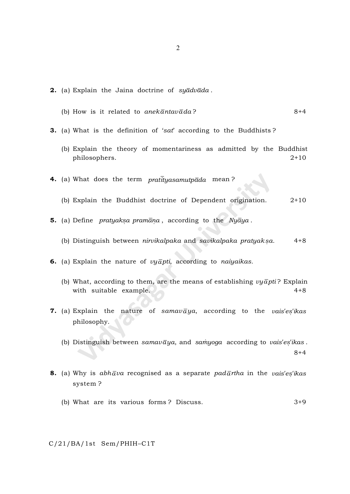- **2.** (a) Explain the Jaina doctrine of  $sy\bar{a}dv\bar{a}da$ .
	- (b) How is it related to anekantavada?  $8+4$
- **3.** (a) What is the definition of 'sat' according to the Buddhists?
	- (b) Explain the theory of momentariness as admitted by the Buddhist philosophers. 2+10
- 4. (a) What does the term  $pratiiya samutp\bar{a}da$  mean?
	- (b) Explain the Buddhist doctrine of Dependent origination. 2+10
- **5.** (a) Define  $\;$  pratyaksa  $\;$  prama $\bar{a}$  a  $\;$  according to the  $\;$  Nya $\;$   $\;$   $\;$ 
	- (b) Distinguish between *nirvikalpaka* and *savikalpaka pratyak*s  $4+8$
- 6. (a) Explain the nature of  $vy\bar{a}pti$ , according to naiyaikas.
	- (b) What, according to them, are the means of establishing  $vy\bar{a}pti$ ? Explain with suitable example.  $4+8$
- **7.** (a) Explain the nature of samavaya, according to the vais'es'ikas philosophy.
	- (b) Distinguish between samavaya, and samyoga according to vais'es'ikas. 8+4
- **8.** (a) Why is  $abh\bar{a}va$  recognised as a separate  $pad\bar{a}rtha$  in the  $vais'es'ikas$ system ?
	- (b) What are its various forms ? Discuss. 3+9

C/21/BA/1st Sem/PHIH–C1T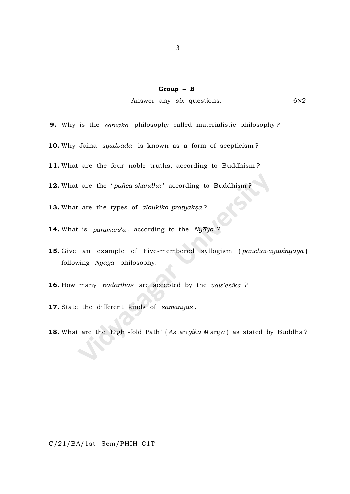#### Group – B

Answer any six questions. 6×2

**9.** Why is the  $c\bar{a}r\bar{a}ka$  philosophy called materialistic philosophy?

10. Why Jaina syadvada is known as a form of scepticism?

11. What are the four noble truths, according to Buddhism ?

12. What are the 'pañca skandha' according to Buddhism?

13. What are the types of alaukika pratyaksa?

14. What is paramars'a, according to the Nyaya?

15. Give an example of Five-membered syllogism (panchavayavinyaya) following  $Ny\overline{a}ya$  philosophy.

16. How many padarthas are accepted by the vais'esika ?

17. State the different kinds of samanyas.

18. What are the 'Eight-fold Path' (Astan gika Marga) as stated by Buddha?

C/21/BA/1st Sem/PHIH–C1T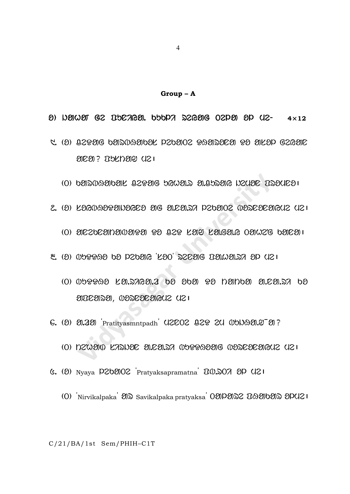Group – A

 $\theta$ ) News G2 BSCAGE, 656PA S2GE 02PE  $\theta$ P (12-  $\theta$   $\theta$ x12

- 5. (O) Q2POG bONNADOOL P26OO2 PAONOEO PO OKOP G2GOE anas takusan dar
	- $(0)$  barnaanak  $0.2506$  bewar a.curay heuse Drauea
- $2.$  (2)  $L$  $260$  $32$  $30$  $362$   $30$   $36$   $31$  $32$  $30$  $30$  $30$  $30$  $30$  $30$  $30$  $30$  $30$  $(0)$  and allowed and a cap  $(0)$  and  $(0)$  and  $(0)$  and  $(0)$   $(0)$
- 3. (o) BUDDHo Ko LEKAY 'SoT' REnAG PA.hA.RI oL mE|
	- (T) BUDDHo SA.RIYA.Z Ko oKA Do tAtKA A.nA.RI Ko ancasa, pascararus usi
- 6. (?) 3.33 'Pratityasmntpadh' U2CO2 829 2U 05093.9 3?
	- $(0)$  nzwand Karibe alealra mparasang mareaeanguz uzu
- 6. (?) Nyaya P202002 Pratyaksapramatna U0.207 2P (21
	- $(0)$  'Nirvikalpaka'  $\partial\mathbb{R}$  Savikalpaka pratyaksa<sup>'</sup>  $0\partial\mathbb{R}\partial\mathbb{R}$   $\Omega$  $\partial\partial\mathbb{R}\partial\mathbb{R}$   $\partial\mathbb{R}\Omega$

C/21/BA/1st Sem/PHIH–C1T

4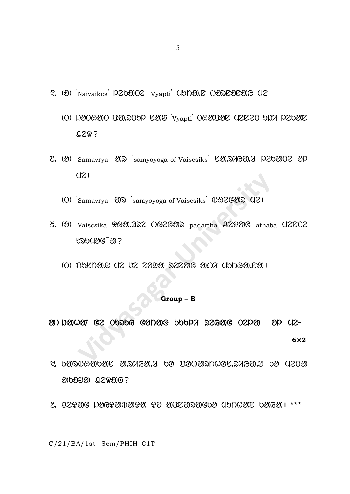- C. (2) Naivaikes P202002 Vvapti UDDEL WORDDEED U21
	- (O) NOOAO DONOOP KON 'Vyapti' OAODOC (IZEZO SNA PZ60E 029?
- 2. (2) Samavrya 200 samyoyoga of Vaiscsiks  $\&$  20.000.00 P202002 2P  $U21$ 
	- (0) Samavrya 202 samyoyoga of Vaiscsiks 00926202 U21
- $C.$  (O) Vaiscsika  $99.322$   $0.9269$ ) padartha  $92990$ G athaba  $02002$ 525426-20?
	- $(0)$  usual de la cosa escale side diversion

#### Group - B

 $\emptyset) \cup \emptyset \cup \emptyset \qquad \qquad \text{G2 \; 05556} \quad \text{G2D29} \qquad \text{G2D20} \qquad \text{D5D7} \quad \text{G2G20} \qquad \text{O2D20}$  $8D$   $12-$ 

 $6\times2$ 

- $\mathcal{A}$  be an algebraic construction od  $\mathcal{A}$ 9109991 Q2991G?
- $2.229061266200099090303000000000000000000001***$

C/21/BA/1st Sem/PHIH-C1T

5